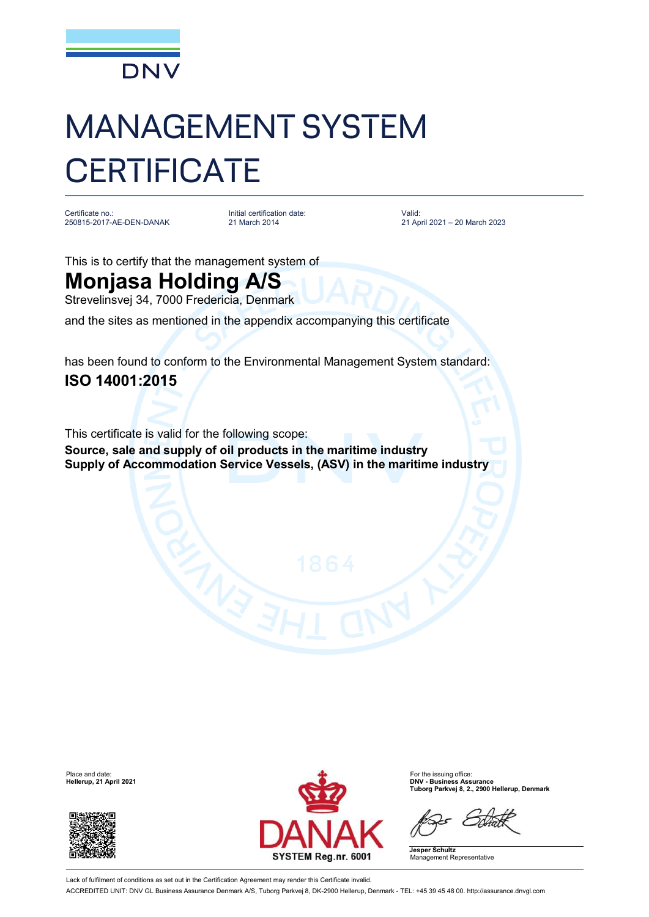

## MANAGEMENT SYSTEM **CERTIFICATE**

Certificate no.: 250815-2017-AE-DEN-DANAK

Initial certification date: 21 March 2014

Valid: 21 April 2021 – 20 March 2023

This is to certify that the management system of

## **Monjasa Holding A/S**

Strevelinsvej 34, 7000 Fredericia, Denmark

and the sites as mentioned in the appendix accompanying this certificate

has been found to conform to the Environmental Management System standard: **ISO 14001:2015**

This certificate is valid for the following scope: **Source, sale and supply of oil products in the maritime industry Supply of Accommodation Service Vessels, (ASV) in the maritime industry**

**Hellerup, 21 April 2021** 





**Tuborg Parkvej 8, 2., 2900 Hellerup, Denmark**

**Jesper Schultz** Management Representative

Lack of fulfilment of conditions as set out in the Certification Agreement may render this Certificate invalid. ACCREDITED UNIT: DNV GL Business Assurance Denmark A/S, Tuborg Parkvej 8, DK-2900 Hellerup, Denmark - TEL: +45 39 45 48 00. <http://assurance.dnvgl.com>